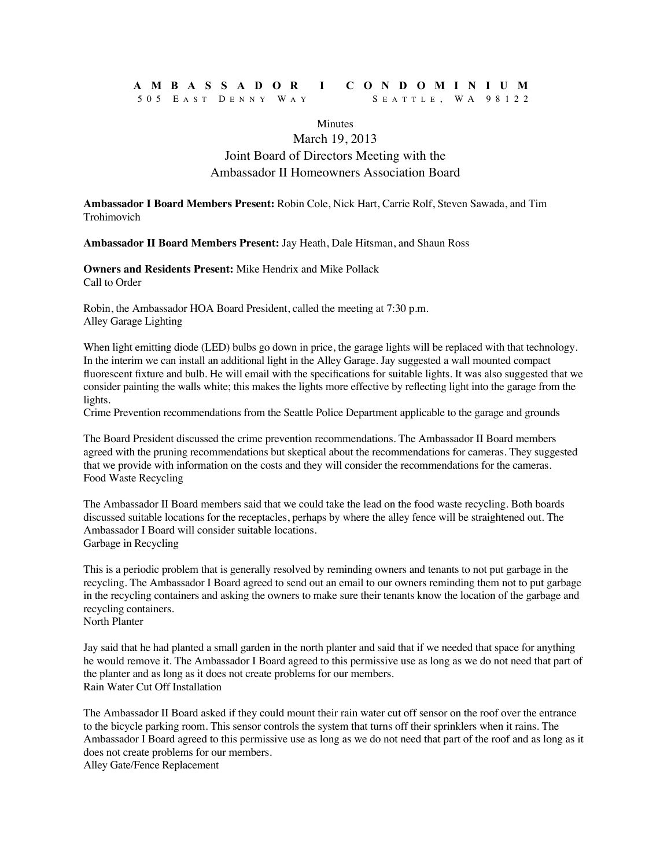## **AMBASSADOR I CONDOMINIUM** 505 E AST D ENNY W A Y S EATTLE , WA 98122

### **Minutes**

## March 19, 2013 Joint Board of Directors Meeting with the Ambassador II Homeowners Association Board

**Ambassador I Board Members Present:** Robin Cole, Nick Hart, Carrie Rolf, Steven Sawada, and Tim Trohimovich

**Ambassador II Board Members Present:** Jay Heath, Dale Hitsman, and Shaun Ross

**Owners and Residents Present:** Mike Hendrix and Mike Pollack Call to Order

Robin, the Ambassador HOA Board President, called the meeting at 7:30 p.m. Alley Garage Lighting

When light emitting diode (LED) bulbs go down in price, the garage lights will be replaced with that technology. In the interim we can install an additional light in the Alley Garage. Jay suggested a wall mounted compact fluorescent fixture and bulb. He will email with the specifications for suitable lights. It was also suggested that we consider painting the walls white; this makes the lights more effective by reflecting light into the garage from the lights.

Crime Prevention recommendations from the Seattle Police Department applicable to the garage and grounds

The Board President discussed the crime prevention recommendations. The Ambassador II Board members agreed with the pruning recommendations but skeptical about the recommendations for cameras. They suggested that we provide with information on the costs and they will consider the recommendations for the cameras. Food Waste Recycling

The Ambassador II Board members said that we could take the lead on the food waste recycling. Both boards discussed suitable locations for the receptacles, perhaps by where the alley fence will be straightened out. The Ambassador I Board will consider suitable locations. Garbage in Recycling

This is a periodic problem that is generally resolved by reminding owners and tenants to not put garbage in the recycling. The Ambassador I Board agreed to send out an email to our owners reminding them not to put garbage in the recycling containers and asking the owners to make sure their tenants know the location of the garbage and recycling containers.

North Planter

Jay said that he had planted a small garden in the north planter and said that if we needed that space for anything he would remove it. The Ambassador I Board agreed to this permissive use as long as we do not need that part of the planter and as long as it does not create problems for our members. Rain Water Cut Off Installation

The Ambassador II Board asked if they could mount their rain water cut off sensor on the roof over the entrance to the bicycle parking room. This sensor controls the system that turns off their sprinklers when it rains. The Ambassador I Board agreed to this permissive use as long as we do not need that part of the roof and as long as it does not create problems for our members.

Alley Gate/Fence Replacement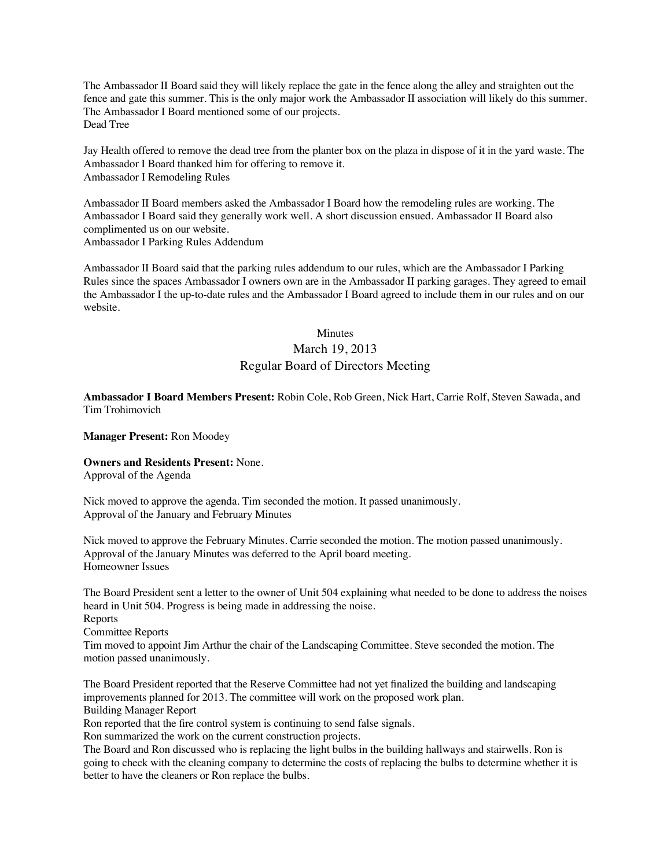The Ambassador II Board said they will likely replace the gate in the fence along the alley and straighten out the fence and gate this summer. This is the only major work the Ambassador II association will likely do this summer. The Ambassador I Board mentioned some of our projects. Dead Tree

Jay Health offered to remove the dead tree from the planter box on the plaza in dispose of it in the yard waste. The Ambassador I Board thanked him for offering to remove it. Ambassador I Remodeling Rules

Ambassador II Board members asked the Ambassador I Board how the remodeling rules are working. The Ambassador I Board said they generally work well. A short discussion ensued. Ambassador II Board also complimented us on our website. Ambassador I Parking Rules Addendum

Ambassador II Board said that the parking rules addendum to our rules, which are the Ambassador I Parking Rules since the spaces Ambassador I owners own are in the Ambassador II parking garages. They agreed to email the Ambassador I the up-to-date rules and the Ambassador I Board agreed to include them in our rules and on our website.

## Minutes March 19, 2013

# Regular Board of Directors Meeting

**Ambassador I Board Members Present:** Robin Cole, Rob Green, Nick Hart, Carrie Rolf, Steven Sawada, and Tim Trohimovich

**Manager Present:** Ron Moodey

**Owners and Residents Present:** None.

Approval of the Agenda

Nick moved to approve the agenda. Tim seconded the motion. It passed unanimously. Approval of the January and February Minutes

Nick moved to approve the February Minutes. Carrie seconded the motion. The motion passed unanimously. Approval of the January Minutes was deferred to the April board meeting. Homeowner Issues

The Board President sent a letter to the owner of Unit 504 explaining what needed to be done to address the noises heard in Unit 504. Progress is being made in addressing the noise.

Reports Committee Reports

Tim moved to appoint Jim Arthur the chair of the Landscaping Committee. Steve seconded the motion. The motion passed unanimously.

The Board President reported that the Reserve Committee had not yet finalized the building and landscaping improvements planned for 2013. The committee will work on the proposed work plan. Building Manager Report

Ron reported that the fire control system is continuing to send false signals.

Ron summarized the work on the current construction projects.

The Board and Ron discussed who is replacing the light bulbs in the building hallways and stairwells. Ron is going to check with the cleaning company to determine the costs of replacing the bulbs to determine whether it is better to have the cleaners or Ron replace the bulbs.